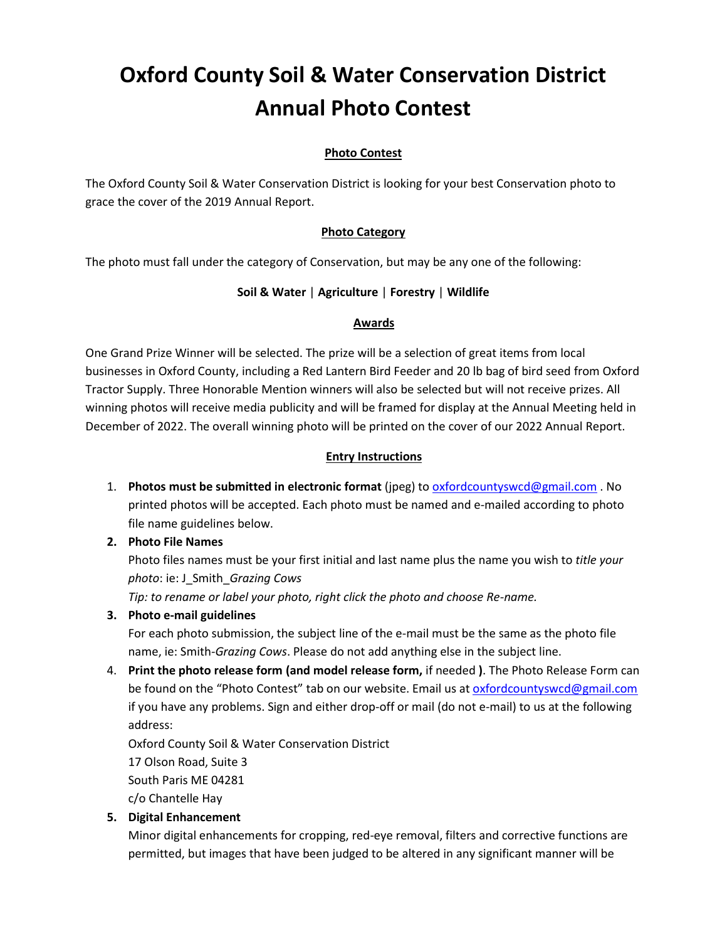# **Oxford County Soil & Water Conservation District Annual Photo Contest**

# **Photo Contest**

The Oxford County Soil & Water Conservation District is looking for your best Conservation photo to grace the cover of the 2019 Annual Report.

### **Photo Category**

The photo must fall under the category of Conservation, but may be any one of the following:

#### **Soil & Water** | **Agriculture** | **Forestry** | **Wildlife**

#### **Awards**

One Grand Prize Winner will be selected. The prize will be a selection of great items from local businesses in Oxford County, including a Red Lantern Bird Feeder and 20 lb bag of bird seed from Oxford Tractor Supply. Three Honorable Mention winners will also be selected but will not receive prizes. All winning photos will receive media publicity and will be framed for display at the Annual Meeting held in December of 2022. The overall winning photo will be printed on the cover of our 2022 Annual Report.

#### **Entry Instructions**

1. **Photos must be submitted in electronic format** (jpeg) to [oxfordcountyswcd@gmail.com](mailto:oxfordcountyswcd@gmail.com) . No printed photos will be accepted. Each photo must be named and e-mailed according to photo file name guidelines below.

#### **2. Photo File Names**

Photo files names must be your first initial and last name plus the name you wish to *title your photo*: ie: J\_Smith\_*Grazing Cows*

*Tip: to rename or label your photo, right click the photo and choose Re-name.*

## **3. Photo e-mail guidelines**

For each photo submission, the subject line of the e-mail must be the same as the photo file name, ie: Smith*-Grazing Cows*. Please do not add anything else in the subject line.

4. **Print the photo release form (and model release form,** if needed **)**. The Photo Release Form can be found on the "Photo Contest" tab on our website. Email us at [oxfordcountyswcd@gmail.com](mailto:oxfordcountyswcd@gmail.com) if you have any problems. Sign and either drop-off or mail (do not e-mail) to us at the following address:

Oxford County Soil & Water Conservation District 17 Olson Road, Suite 3 South Paris ME 04281 c/o Chantelle Hay

## **5. Digital Enhancement**

Minor digital enhancements for cropping, red-eye removal, filters and corrective functions are permitted, but images that have been judged to be altered in any significant manner will be